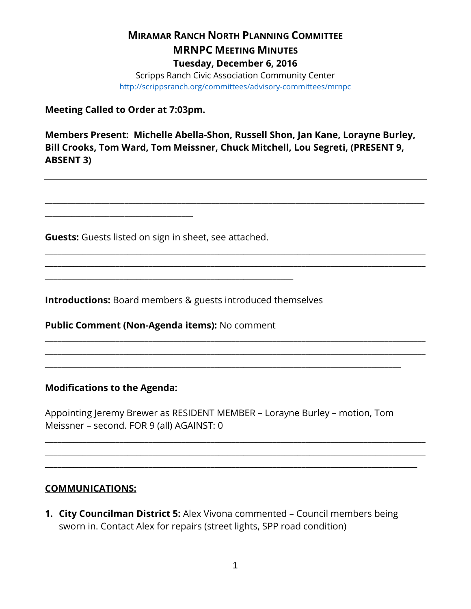## **MIRAMAR RANCH NORTH PLANNING COMMITTEE MRNPC MEETING MINUTES Tuesday, December 6, 2016** Scripps Ranch Civic Association Community Center <http://scrippsranch.org/committees/advisory-committees/mrnpc>

**Meeting Called to Order at 7:03pm.**

**\_\_\_\_\_\_\_\_\_\_\_\_\_\_\_\_\_\_\_\_\_\_\_\_\_\_\_\_\_\_\_\_\_\_\_\_\_\_\_**

**Members Present: Michelle Abella-Shon, Russell Shon, Jan Kane, Lorayne Burley, Bill Crooks, Tom Ward, Tom Meissner, Chuck Mitchell, Lou Segreti, (PRESENT 9, ABSENT 3)**

**\_\_\_\_\_\_\_\_\_\_\_\_\_\_\_\_\_\_\_\_\_\_\_\_\_\_\_\_\_\_\_\_\_\_\_\_\_\_\_\_\_\_\_\_\_\_\_\_\_\_\_\_\_\_\_\_\_\_\_\_\_\_\_\_\_\_\_\_\_\_\_\_\_\_\_\_\_\_\_\_\_\_\_\_\_\_\_\_\_\_\_\_\_\_\_\_\_\_\_\_**

\_\_\_\_\_\_\_\_\_\_\_\_\_\_\_\_\_\_\_\_\_\_\_\_\_\_\_\_\_\_\_\_\_\_\_\_\_\_\_\_\_\_\_\_\_\_\_\_\_\_\_\_\_\_\_\_\_\_\_\_\_\_\_\_\_\_\_\_\_\_\_\_\_\_\_\_\_\_\_\_\_\_\_\_\_\_\_\_\_\_\_\_ \_\_\_\_\_\_\_\_\_\_\_\_\_\_\_\_\_\_\_\_\_\_\_\_\_\_\_\_\_\_\_\_\_\_\_\_\_\_\_\_\_\_\_\_\_\_\_\_\_\_\_\_\_\_\_\_\_\_\_\_\_\_\_\_\_\_\_\_\_\_\_\_\_\_\_\_\_\_\_\_\_\_\_\_\_\_\_\_\_\_\_\_

\_\_\_\_\_\_\_\_\_\_\_\_\_\_\_\_\_\_\_\_\_\_\_\_\_\_\_\_\_\_\_\_\_\_\_\_\_\_\_\_\_\_\_\_\_\_\_\_\_\_\_\_\_\_\_\_\_\_\_\_\_\_\_\_\_\_\_\_\_\_\_\_\_\_\_\_\_\_\_\_\_\_\_\_\_\_\_\_\_\_\_\_ \_\_\_\_\_\_\_\_\_\_\_\_\_\_\_\_\_\_\_\_\_\_\_\_\_\_\_\_\_\_\_\_\_\_\_\_\_\_\_\_\_\_\_\_\_\_\_\_\_\_\_\_\_\_\_\_\_\_\_\_\_\_\_\_\_\_\_\_\_\_\_\_\_\_\_\_\_\_\_\_\_\_\_\_\_\_\_\_\_\_\_\_

**Guests:** Guests listed on sign in sheet, see attached.

**Introductions:** Board members & guests introduced themselves

**Public Comment (Non-Agenda items):** No comment

\_\_\_\_\_\_\_\_\_\_\_\_\_\_\_\_\_\_\_\_\_\_\_\_\_\_\_\_\_\_\_\_\_\_\_\_\_\_\_\_\_\_\_\_\_\_\_\_\_\_\_\_\_\_\_\_\_\_\_\_

#### **Modifications to the Agenda:**

Appointing Jeremy Brewer as RESIDENT MEMBER – Lorayne Burley – motion, Tom Meissner – second. FOR 9 (all) AGAINST: 0

\_\_\_\_\_\_\_\_\_\_\_\_\_\_\_\_\_\_\_\_\_\_\_\_\_\_\_\_\_\_\_\_\_\_\_\_\_\_\_\_\_\_\_\_\_\_\_\_\_\_\_\_\_\_\_\_\_\_\_\_\_\_\_\_\_\_\_\_\_\_\_\_\_\_\_\_\_\_\_\_\_\_\_\_\_\_\_\_\_\_\_\_ \_\_\_\_\_\_\_\_\_\_\_\_\_\_\_\_\_\_\_\_\_\_\_\_\_\_\_\_\_\_\_\_\_\_\_\_\_\_\_\_\_\_\_\_\_\_\_\_\_\_\_\_\_\_\_\_\_\_\_\_\_\_\_\_\_\_\_\_\_\_\_\_\_\_\_\_\_\_\_\_\_\_\_\_\_\_\_\_\_\_\_\_ \_\_\_\_\_\_\_\_\_\_\_\_\_\_\_\_\_\_\_\_\_\_\_\_\_\_\_\_\_\_\_\_\_\_\_\_\_\_\_\_\_\_\_\_\_\_\_\_\_\_\_\_\_\_\_\_\_\_\_\_\_\_\_\_\_\_\_\_\_\_\_\_\_\_\_\_\_\_\_\_\_\_\_\_\_\_\_\_\_\_

\_\_\_\_\_\_\_\_\_\_\_\_\_\_\_\_\_\_\_\_\_\_\_\_\_\_\_\_\_\_\_\_\_\_\_\_\_\_\_\_\_\_\_\_\_\_\_\_\_\_\_\_\_\_\_\_\_\_\_\_\_\_\_\_\_\_\_\_\_\_\_\_\_\_\_\_\_\_\_\_\_\_\_\_\_\_

#### **COMMUNICATIONS:**

**1. City Councilman District 5:** Alex Vivona commented – Council members being sworn in. Contact Alex for repairs (street lights, SPP road condition)